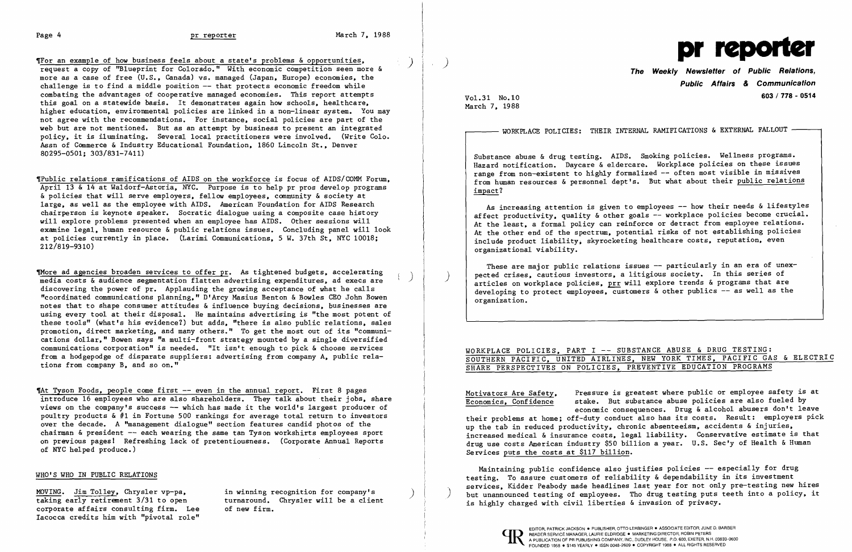I

The an example of how business feels about a state's problems & opportunities, <br>request a copy of "Blueprint for Colorado." With economic competition seen more & more as a case of free (U.S., Canada) vs. managed (Japan, Europe) economies, the challenge is to find a middle position  $-$  that protects economic freedom while combating the advantages of cooperative managed economies. This report attempts this goal on a statewide basis. It demonstrates again how schools, healthcare, higher education, environmental policies are linked in a non-linear system. You may not agree with the recommendations. For instance, social policies are part of the web but are not mentioned. But as an attempt by business to present an integrated policy, it is iluminating. Several local practitioners were involved. (Write Colo. Assn of Commerce & Industry Educational Foundation, 1860 Lincoln St., Denver 80295-0501; 303/831-7411)

Thore ad agencies broaden services to offer pr. As tightened budgets, accelerating media costs & audience segmentation flatten advertising expenditures, ad execs are discovering the power of  $pr.$  Applauding the growing acceptance of what he calls "coordinated communications planning," D' Arcy Masius Benton & Bowles CEO John Bowen notes that to shape consumer attitudes & influence buying decisions, businesses are using every tool at their disposal. He maintains advertising is "the most potent of these tools" (what's his evidence?) but adds, "there is also public relations, sales promotion, direct marketing, and many others." To get the most out of its "communi cations dollar," Bowen says "a multi-front strategy mounted by a single diversified communications corporation" is needed. "It isn't enough to pick & choose services from a hodgepodge of disparate suppliers: advertising from company A, public rela tions from company B, and so on."

,Public relations ramifications of AIDS on the workforce is focus of AIDS/COMM Forum, April 13 & 14 at Waldorf-Astoria, NYC. Purpose is to help pr pros develop programs & policies that will serve employers, fellow employees, community & society at large, as well as the employee with AIDS. American Foundation for AIDS Research chairperson is keynote speaker. Socratic dialogue using a composite case history will explore problems presented when an employee has AIDS. Other sessions will examine legal, human resource & public relations issues. Concluding panel will look at policies currently in place. (Larimi Communications, 5 W. 37th St, NYC 10018; 212/819-9310)

That Tyson Foods, people come first -- even in the annual report. First 8 pages introduce 16 employees who are also shareholders. They talk about their jobs, share views on the company's success -- which has made it the world's largest producer of poultry products & #1 in Fortune 500 rankings for average total return to investors over the decade. A 'management dialogue" section features candid photos of the chairman & president -- each wearing the same tan Tyson workshirts employees sport on previous pages I Refreshing lack of pretentiousness. (Corporate Annual Reports of NYC helped produce.)

As increasing attention is given to employees -- how their needs & lifestyles affect productivity, quality & other goals -- workplace policies become crucial. At the least, a formal policy can reinforce or detract from employee relations. At the other end of the spectrum, potential risks of not establishing policies include product liability, skyrocketing healthcare costs, reputation, even organizational viability.

These are major public relations issues -- particularly in an era of unexpected crises, cautious investors, a litigious society. In this series of articles on workplace policies, prr will explore trends & programs that are developing to protect employees, customers & other publics -- as well as the organization.

# WORKPLACE POLICIES, PART I -- SUBSTANCE ABUSE & DRUG TESTING: SOUTHERN PACIFIC, UNITED AIRLINES, NEW YORK TIMES, PACIFIC GAS & ELECTRIC

taking early retirement 3/31 to open turnaround. Chrysler will be a client is highly charged with civil liberties & invasion of privacy.<br>corporate affairs consulting firm. Lee of new firm. Iacocca credits him with "pivotal role"

)

)

WORKPLACE POLICIES: THEIR INTERNAL RAMIFICATIONS & EXTERNAL FALLOUT -



Vol. 31 No.IO March 7, 1988

## **The Public Relations, Weekly Newsletter of & Communication Public Affairs 603/ 178 - 0514**

Substance abuse & drug testing. AIDS. Smoking policies. Wellness programs. Hazard notification. Daycare & eldercare. Workplace policies on these issues range from non-existent to highly formalized -- often most visible in missives from human resources & personnel dept's. But what about their public relations impact?

SHARE PERSPECTIVES ON POLICIES, PREVENTIVE EDUCATION PROGRAMS

Motivators Are Safety, Economics, Confidence Pressure is greatest where public or employee safety is at stake. But substance abuse policies are also fueled by economic consequences. Drug & alcohol abusers don't leave their problems at home; off-duty conduct also has its costs. Result: employers pick up the tab in reduced productivity, chronic absenteeism, accidents & injuries, increased medical & insurance costs, legal liability. Conservative estimate is that drug use costs American industry \$50 billion a year. U.S. Sec'y of Health & Human Services puts the costs at \$117 billion.

Maintaining public confidence also justifies policies -- especially for drug<br>testing. To assure customers of reliability & dependability in its investment services, Kidder Peabody made headlines last year for not only pre-testing new hires MOVING. Jim Tolley, Chrysler vp-pa, in winning recognition for company's and the unannounced testing of employees. Tho drug testing puts teeth into a policy, it taking early retirement 3/31 to open turnaround. Chrysler wi